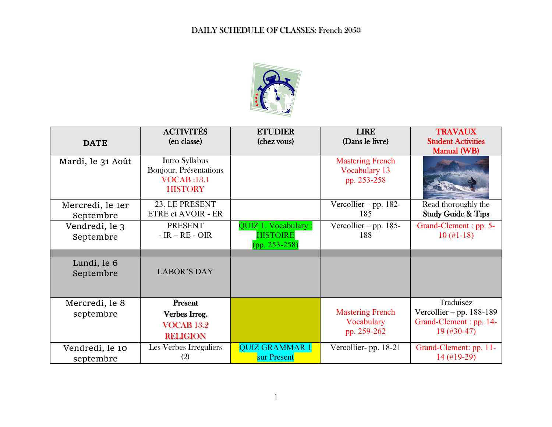

|                   | <b>ACTIVITÉS</b>          | <b>ETUDIER</b>        | <b>LIRE</b>             | <b>TRAVAUX</b>                |
|-------------------|---------------------------|-----------------------|-------------------------|-------------------------------|
| <b>DATE</b>       | (en classe)               | (chez vous)           | (Dans le livre)         | <b>Student Activities</b>     |
|                   |                           |                       |                         | <b>Manual (WB)</b>            |
| Mardi, le 31 Août | Intro Syllabus            |                       | <b>Mastering French</b> |                               |
|                   | Bonjour. Présentations    |                       | Vocabulary 13           |                               |
|                   | <b>VOCAB</b> :13.1        |                       | pp. 253-258             |                               |
|                   | <b>HISTORY</b>            |                       |                         |                               |
| Mercredi, le 1er  | 23. LE PRESENT            |                       | Vercollier – pp. 182-   | Read thoroughly the           |
| Septembre         | <b>ETRE et AVOIR - ER</b> |                       | 185                     | <b>Study Guide &amp; Tips</b> |
| Vendredi, le 3    | <b>PRESENT</b>            | QUIZ 1. Vocabulary:   | Vercollier – pp. $185-$ | Grand-Clement : pp. 5-        |
| Septembre         | $- IR - RE - OIR$         | <b>HISTOIRE</b>       | 188                     | $10 \left( \#1 - 18 \right)$  |
|                   |                           | $(pp. 253-258)$       |                         |                               |
|                   |                           |                       |                         |                               |
| Lundi, le 6       |                           |                       |                         |                               |
| Septembre         | <b>LABOR'S DAY</b>        |                       |                         |                               |
|                   |                           |                       |                         |                               |
| Mercredi, le 8    | Present                   |                       |                         | Traduisez                     |
| septembre         | Verbes Irreg.             |                       | <b>Mastering French</b> | Vercollier – pp. $188-189$    |
|                   | <b>VOCAB 13.2</b>         |                       | Vocabulary              | Grand-Clement : pp. 14-       |
|                   | <b>RELIGION</b>           |                       | pp. 259-262             | $19 \left( \#30 - 47 \right)$ |
|                   |                           |                       |                         |                               |
| Vendredi, le 10   | Les Verbes Irreguliers    | <b>QUIZ GRAMMAR 1</b> | Vercollier-pp. 18-21    | Grand-Clement: pp. 11-        |
| septembre         | (2)                       | sur Present           |                         | $14 \left( \#19 - 29 \right)$ |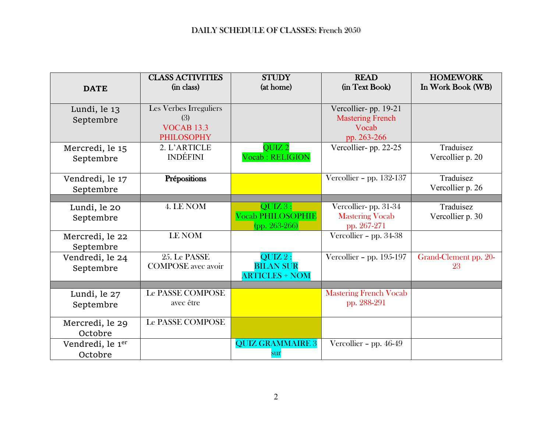|                  | <b>CLASS ACTIVITIES</b><br>(in class) | <b>STUDY</b><br>(at home)                 | <b>READ</b><br>(in Text Book)                   | <b>HOMEWORK</b><br>In Work Book (WB) |
|------------------|---------------------------------------|-------------------------------------------|-------------------------------------------------|--------------------------------------|
| <b>DATE</b>      |                                       |                                           |                                                 |                                      |
| Lundi, le 13     | Les Verbes Irreguliers<br>(3)         |                                           | Vercollier-pp. 19-21<br><b>Mastering French</b> |                                      |
| Septembre        | <b>VOCAB 13.3</b>                     |                                           | Vocab                                           |                                      |
|                  | <b>PHILOSOPHY</b>                     |                                           | pp. 263-266                                     |                                      |
| Mercredi, le 15  | 2. L'ARTICLE                          | QUIZ <sub>2</sub>                         | Vercollier-pp. 22-25                            | Traduisez                            |
| Septembre        | <b>INDÉFINI</b>                       | Vocab : RELIGION                          |                                                 | Vercollier p. 20                     |
| Vendredi, le 17  | Prépositions                          |                                           | Vercollier - pp. 132-137                        | Traduisez                            |
| Septembre        |                                       |                                           |                                                 | Vercollier p. 26                     |
| Lundi, le 20     | 4. LE NOM                             | QUIZ3:                                    | Vercollier-pp. 31-34                            | Traduisez                            |
| Septembre        |                                       | <b>Vocab PHILOSOPHIE</b>                  | <b>Mastering Vocab</b>                          | Vercollier p. 30                     |
|                  |                                       | (pp. $263-266$ )                          | pp. 267-271                                     |                                      |
| Mercredi, le 22  | <b>LE NOM</b>                         |                                           | Vercollier - pp. 34-38                          |                                      |
| Septembre        |                                       |                                           |                                                 |                                      |
| Vendredi, le 24  | 25. Le PASSE                          | $QUIZ2$ :                                 | Vercollier - pp. 195-197                        | Grand-Clement pp. 20-                |
| Septembre        | <b>COMPOSE</b> avec avoir             | <b>BILAN SUR</b><br><b>ARTICLES + NOM</b> |                                                 | 23                                   |
|                  |                                       |                                           |                                                 |                                      |
| Lundi, le 27     | <b>Le PASSE COMPOSE</b>               |                                           | <b>Mastering French Vocab</b>                   |                                      |
| Septembre        | avec être                             |                                           | pp. 288-291                                     |                                      |
| Mercredi, le 29  | Le PASSE COMPOSE                      |                                           |                                                 |                                      |
| Octobre          |                                       |                                           |                                                 |                                      |
| Vendredi, le 1er |                                       | <b>QUIZ GRAMMAIRE 3</b>                   | Vercollier - pp. 46-49                          |                                      |
| Octobre          |                                       | sur                                       |                                                 |                                      |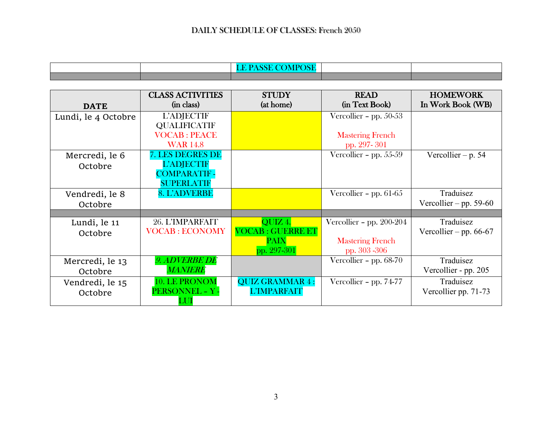|  | $\sim$ |  |
|--|--------|--|
|  |        |  |

|                     | <b>CLASS ACTIVITIES</b> | <b>STUDY</b>            | <b>READ</b>                | <b>HOMEWORK</b>          |
|---------------------|-------------------------|-------------------------|----------------------------|--------------------------|
| <b>DATE</b>         | (in class)              | (at home)               | (in Text Book)             | In Work Book (WB)        |
| Lundi, le 4 Octobre | <b>L'ADJECTIF</b>       |                         | Vercollier - pp. $50-53$   |                          |
|                     | <b>QUALIFICATIF</b>     |                         |                            |                          |
|                     | <b>VOCAB: PEACE</b>     |                         | <b>Mastering French</b>    |                          |
|                     | <b>WAR 14.8</b>         |                         | pp. 297-301                |                          |
| Mercredi, le 6      | <b>7. LES DEGRES DE</b> |                         | Vercollier - pp. $55-59$   | Vercollier – p. $54$     |
| Octobre             | <b>L'ADJECTIF</b>       |                         |                            |                          |
|                     | COMPARATIF -            |                         |                            |                          |
|                     | <b>SUPERLATIF</b>       |                         |                            |                          |
| Vendredi, le 8      | <b>8. L'ADVERBE</b>     |                         | Vercollier - pp. $61-65$   | Traduisez                |
| Octobre             |                         |                         |                            | Vercollier – pp. 59-60   |
|                     |                         |                         |                            |                          |
| Lundi, le 11        | 26. L'IMPARFAIT         | QUIZ 4.                 | Vercollier - pp. $200-204$ | Traduisez                |
| Octobre             | <b>VOCAB: ECONOMY</b>   | <b>VOCAB: GUERRE ET</b> |                            | Vercollier – pp. $66-67$ |
|                     |                         | <b>PAIX</b>             | <b>Mastering French</b>    |                          |
|                     |                         | pp. 297-301             | pp. 303 - 306              |                          |
| Mercredi, le 13     | <b>9. ADVERBE DE</b>    |                         | Vercollier - pp. $68-70$   | Traduisez                |
| Octobre             | <b>MANIERE</b>          |                         |                            | Vercollier - pp. 205     |
| Vendredi, le 15     | 10. LE PRONOM           | <b>QUIZ GRAMMAR 4</b>   | Vercollier - pp. $74-77$   | Traduisez                |
| Octobre             | PERSONNEL - Y -         | <b>L'IMPARFAIT</b>      |                            | Vercollier pp. 71-73     |
|                     | LUI                     |                         |                            |                          |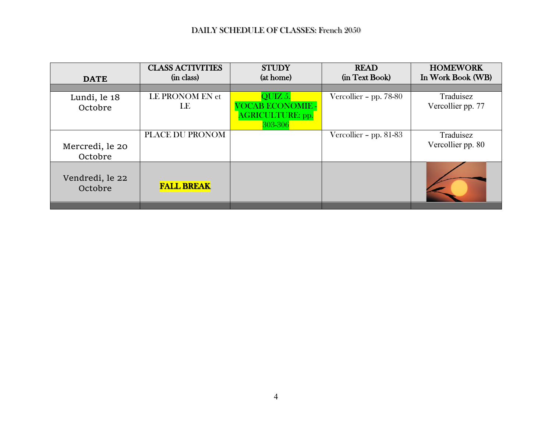| <b>DATE</b>     | <b>CLASS ACTIVITIES</b><br>(in class) | <b>STUDY</b><br>(at home) | <b>READ</b><br>(in Text Book) | <b>HOMEWORK</b><br>In Work Book (WB) |
|-----------------|---------------------------------------|---------------------------|-------------------------------|--------------------------------------|
|                 |                                       |                           |                               |                                      |
| Lundi, le 18    | LE PRONOM EN et                       | QUIZ 5.                   | Vercollier - pp. $78-80$      | Traduisez                            |
| Octobre         | LE                                    | <b>VOCAB ECONOMIE</b>     |                               | Vercollier pp. 77                    |
|                 |                                       | <b>AGRICULTURE: pp.</b>   |                               |                                      |
|                 |                                       | 303-306                   |                               |                                      |
|                 | PLACE DU PRONOM                       |                           | Vercollier - pp. $81-83$      | Traduisez                            |
| Mercredi, le 20 |                                       |                           |                               | Vercollier pp. 80                    |
| Octobre         |                                       |                           |                               |                                      |
|                 |                                       |                           |                               |                                      |
| Vendredi, le 22 |                                       |                           |                               |                                      |
| Octobre         | <b>FALL BREAK</b>                     |                           |                               |                                      |
|                 |                                       |                           |                               |                                      |
|                 |                                       |                           |                               |                                      |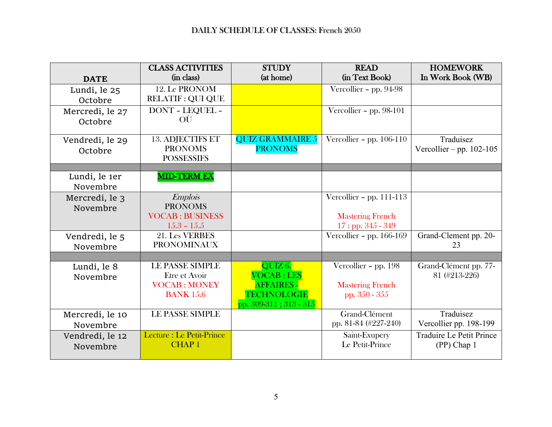|                 | <b>CLASS ACTIVITIES</b>                  | <b>STUDY</b>            | <b>READ</b>                                      | <b>HOMEWORK</b>            |
|-----------------|------------------------------------------|-------------------------|--------------------------------------------------|----------------------------|
| <b>DATE</b>     | (in class)                               | (at home)               | (in Text Book)                                   | In Work Book (WB)          |
| Lundi, le 25    | 12. Le PRONOM                            |                         | Vercollier - pp. $94-98$                         |                            |
| Octobre         | <b>RELATIF : QUI QUE</b>                 |                         |                                                  |                            |
| Mercredi, le 27 | DONT - LEQUEL -                          |                         | Vercollier - pp. 98-101                          |                            |
| Octobre         | OÙ                                       |                         |                                                  |                            |
| Vendredi, le 29 | <b>13. ADJECTIFS ET</b>                  | <b>QUIZ GRAMMAIRE 5</b> | Vercollier - pp. $106-110$                       | Traduisez                  |
| Octobre         | <b>PRONOMS</b>                           | <b>PRONOMS</b>          |                                                  | Vercollier – pp. $102-105$ |
|                 | <b>POSSESSIFS</b>                        |                         |                                                  |                            |
|                 |                                          |                         |                                                  |                            |
| Lundi, le 1er   | <b>MID-TERM EX</b>                       |                         |                                                  |                            |
| Novembre        |                                          |                         |                                                  |                            |
| Mercredi, le 3  | <b>Emplois</b>                           |                         | Vercollier - pp. 111-113                         |                            |
| Novembre        | <b>PRONOMS</b><br><b>VOCAB: BUSINESS</b> |                         |                                                  |                            |
|                 | $15.3 - 15.5$                            |                         | <b>Mastering French</b><br>$17:$ pp. $345 - 349$ |                            |
| Vendredi, le 5  | 21. Les VERBES                           |                         | Vercollier - pp. 166-169                         | Grand-Clement pp. 20-      |
| Novembre        | <b>PRONOMINAUX</b>                       |                         |                                                  | 23                         |
|                 |                                          |                         |                                                  |                            |
| Lundi, le 8     | <b>LE PASSE SIMPLE</b>                   | QUIZ 6.                 | Vercollier - pp. 198                             | Grand-Clément pp. 77-      |
| Novembre        | Etre et Avoir                            | <b>VOCAB: LES</b>       |                                                  | 81 (#213-226)              |
|                 | <b>VOCAB: MONEY</b>                      | <b>AFFAIRES -</b>       | <b>Mastering French</b>                          |                            |
|                 | <b>BANK 15.6</b>                         | <b>TECHNOLOGIE</b>      | pp. 350 - 355                                    |                            |
|                 |                                          | pp. 309-311; 313 - 315  |                                                  |                            |
| Mercredi, le 10 | <b>LE PASSE SIMPLE</b>                   |                         | Grand-Clément                                    | Traduisez                  |
| Novembre        |                                          |                         | pp. 81-84 (#227-240)                             | Vercollier pp. 198-199     |
| Vendredi, le 12 | Lecture : Le Petit-Prince                |                         | Saint-Exupery                                    | Traduire Le Petit Prince   |
| Novembre        | <b>CHAP1</b>                             |                         | Le Petit-Prince                                  | (PP) Chap 1                |
|                 |                                          |                         |                                                  |                            |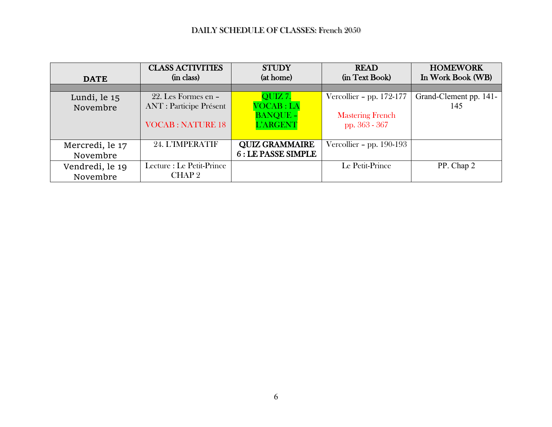|                 | <b>CLASS ACTIVITIES</b>        | <b>STUDY</b>          | <b>READ</b>                | <b>HOMEWORK</b>        |
|-----------------|--------------------------------|-----------------------|----------------------------|------------------------|
| <b>DATE</b>     | (in class)                     | (at home)             | (in Text Book)             | In Work Book (WB)      |
|                 |                                |                       |                            |                        |
| Lundi, le 15    | $22.$ Les Formes en $-$        | QUIZ 7.               | Vercollier - pp. $172-177$ | Grand-Clement pp. 141- |
| Novembre        | <b>ANT</b> : Participe Présent | <b>VOCAB: LA</b>      |                            | 145                    |
|                 |                                | <b>BANQUE -</b>       | <b>Mastering French</b>    |                        |
|                 | <b>VOCAB: NATURE 18</b>        | <b>L'ARGENT</b>       | pp. 363 - 367              |                        |
|                 |                                |                       |                            |                        |
| Mercredi, le 17 | 24. L'IMPERATIF                | <b>QUIZ GRAMMAIRE</b> | Vercollier – pp. $190-193$ |                        |
| Novembre        |                                | 6 : LE PASSE SIMPLE   |                            |                        |
| Vendredi, le 19 | Lecture : Le Petit-Prince      |                       | Le Petit-Prince            | PP. Chap 2             |
| Novembre        | CHAP <sub>2</sub>              |                       |                            |                        |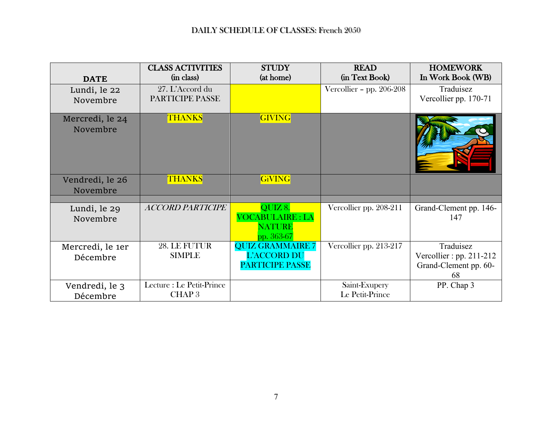|                              | <b>CLASS ACTIVITIES</b>                   | <b>STUDY</b>                                                     | <b>READ</b>                      | <b>HOMEWORK</b>                                                        |
|------------------------------|-------------------------------------------|------------------------------------------------------------------|----------------------------------|------------------------------------------------------------------------|
| <b>DATE</b>                  | (in class)                                | (at home)                                                        | (in Text Book)                   | In Work Book (WB)                                                      |
| Lundi, le 22<br>Novembre     | 27. L'Accord du<br>PARTICIPE PASSE        |                                                                  | Vercollier - pp. 206-208         | Traduisez<br>Vercollier pp. 170-71                                     |
| Mercredi, le 24<br>Novembre  | <b>THANKS</b>                             | <b>GIVING</b>                                                    |                                  |                                                                        |
| Vendredi, le 26<br>Novembre  | <b>THANKS</b>                             | <b>GiVING</b>                                                    |                                  |                                                                        |
| Lundi, le 29<br>Novembre     | <b>ACCORD PARTICIPE</b>                   | QUIZ 8.<br><b>VOCABULAIRE: LA</b><br><b>NATURE</b><br>pp. 363-67 | Vercollier pp. 208-211           | Grand-Clement pp. 146-<br>147                                          |
| Mercredi, le 1er<br>Décembre | 28. LE FUTUR<br><b>SIMPLE</b>             | <b>QUIZ GRAMMAIRE 7</b><br>L'ACCORD DU<br><b>PARTICIPE PASSE</b> | Vercollier pp. 213-217           | Traduisez<br>Vercollier : pp. $211-212$<br>Grand-Clement pp. 60-<br>68 |
| Vendredi, le 3<br>Décembre   | Lecture : Le Petit-Prince<br><b>CHAP3</b> |                                                                  | Saint-Exupery<br>Le Petit-Prince | PP. Chap 3                                                             |